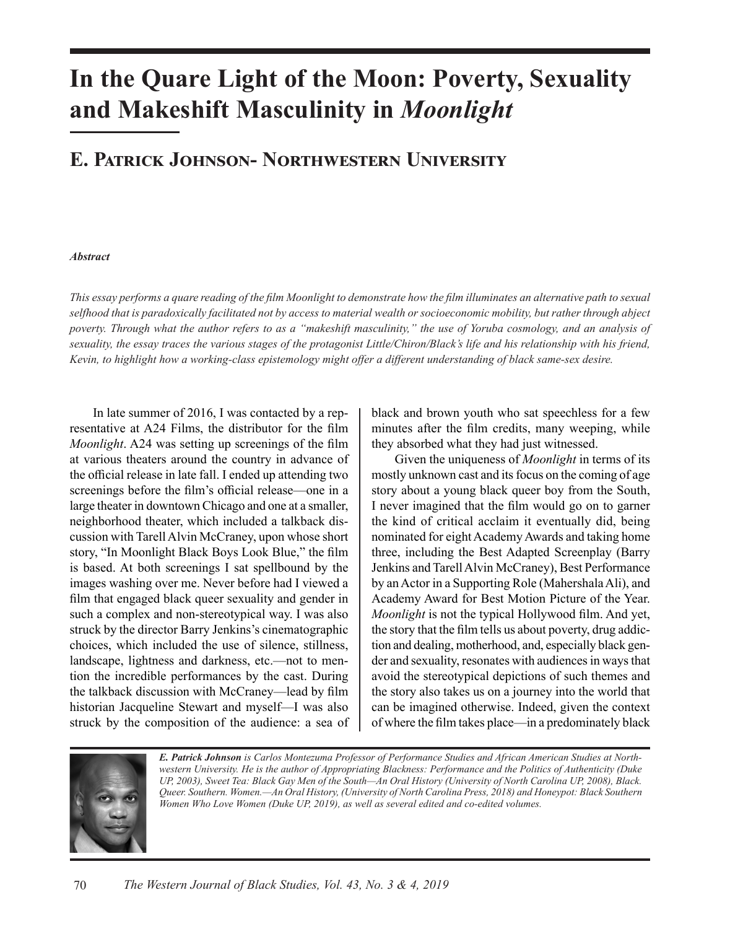# **In the Quare Light of the Moon: Poverty, Sexuality and Makeshift Masculinity in** *Moonlight*

## **E. Patrick Johnson- Northwestern University**

#### *Abstract*

*This essay performs a quare reading of the film Moonlight to demonstrate how the film illuminates an alternative path to sexual selfhood that is paradoxically facilitated not by access to material wealth or socioeconomic mobility, but rather through abject*  poverty. Through what the author refers to as a "makeshift masculinity," the use of Yoruba cosmology, and an analysis of *sexuality, the essay traces the various stages of the protagonist Little/Chiron/Black's life and his relationship with his friend, Kevin, to highlight how a working-class epistemology might offer a different understanding of black same-sex desire.*

In late summer of 2016, I was contacted by a representative at A24 Films, the distributor for the film *Moonlight*. A24 was setting up screenings of the film at various theaters around the country in advance of the official release in late fall. I ended up attending two screenings before the film's official release—one in a large theater in downtown Chicago and one at a smaller, neighborhood theater, which included a talkback discussion with Tarell Alvin McCraney, upon whose short story, "In Moonlight Black Boys Look Blue," the film is based. At both screenings I sat spellbound by the images washing over me. Never before had I viewed a film that engaged black queer sexuality and gender in such a complex and non-stereotypical way. I was also struck by the director Barry Jenkins's cinematographic choices, which included the use of silence, stillness, landscape, lightness and darkness, etc.—not to mention the incredible performances by the cast. During the talkback discussion with McCraney—lead by film historian Jacqueline Stewart and myself—I was also struck by the composition of the audience: a sea of

black and brown youth who sat speechless for a few minutes after the film credits, many weeping, while they absorbed what they had just witnessed.

Given the uniqueness of *Moonlight* in terms of its mostly unknown cast and its focus on the coming of age story about a young black queer boy from the South, I never imagined that the film would go on to garner the kind of critical acclaim it eventually did, being nominated for eight Academy Awards and taking home three, including the Best Adapted Screenplay (Barry Jenkins and Tarell Alvin McCraney), Best Performance by an Actor in a Supporting Role (Mahershala Ali), and Academy Award for Best Motion Picture of the Year. *Moonlight* is not the typical Hollywood film. And yet, the story that the film tells us about poverty, drug addiction and dealing, motherhood, and, especially black gender and sexuality, resonates with audiences in ways that avoid the stereotypical depictions of such themes and the story also takes us on a journey into the world that can be imagined otherwise. Indeed, given the context of where the film takes place—in a predominately black



*E. Patrick Johnson is Carlos Montezuma Professor of Performance Studies and African American Studies at Northwestern University. He is the author of Appropriating Blackness: Performance and the Politics of Authenticity (Duke UP, 2003), Sweet Tea: Black Gay Men of the South—An Oral History (University of North Carolina UP, 2008), Black. Queer. Southern. Women.—An Oral History, (University of North Carolina Press, 2018) and Honeypot: Black Southern Women Who Love Women (Duke UP, 2019), as well as several edited and co-edited volumes.*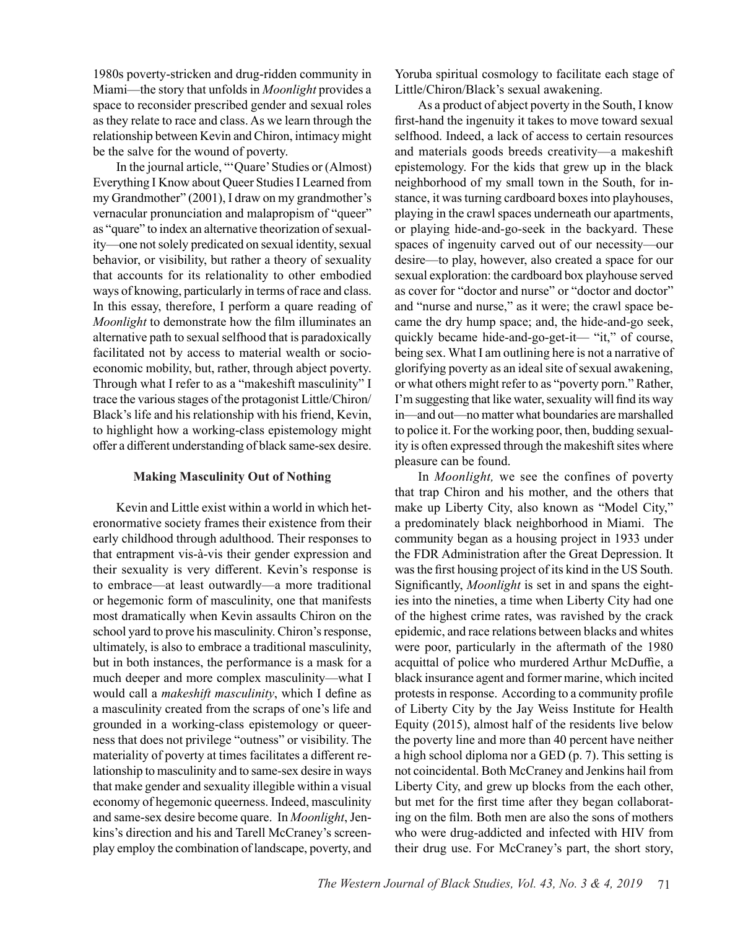1980s poverty-stricken and drug-ridden community in Miami—the story that unfolds in *Moonlight* provides a space to reconsider prescribed gender and sexual roles as they relate to race and class. As we learn through the relationship between Kevin and Chiron, intimacy might be the salve for the wound of poverty.

In the journal article, "'Quare' Studies or (Almost) Everything I Know about Queer Studies I Learned from my Grandmother" (2001), I draw on my grandmother's vernacular pronunciation and malapropism of "queer" as "quare" to index an alternative theorization of sexuality—one not solely predicated on sexual identity, sexual behavior, or visibility, but rather a theory of sexuality that accounts for its relationality to other embodied ways of knowing, particularly in terms of race and class. In this essay, therefore, I perform a quare reading of *Moonlight* to demonstrate how the film illuminates an alternative path to sexual selfhood that is paradoxically facilitated not by access to material wealth or socioeconomic mobility, but, rather, through abject poverty. Through what I refer to as a "makeshift masculinity" I trace the various stages of the protagonist Little/Chiron/ Black's life and his relationship with his friend, Kevin, to highlight how a working-class epistemology might offer a different understanding of black same-sex desire.

#### **Making Masculinity Out of Nothing**

Kevin and Little exist within a world in which heteronormative society frames their existence from their early childhood through adulthood. Their responses to that entrapment vis-à-vis their gender expression and their sexuality is very different. Kevin's response is to embrace—at least outwardly—a more traditional or hegemonic form of masculinity, one that manifests most dramatically when Kevin assaults Chiron on the school yard to prove his masculinity. Chiron's response, ultimately, is also to embrace a traditional masculinity, but in both instances, the performance is a mask for a much deeper and more complex masculinity—what I would call a *makeshift masculinity*, which I define as a masculinity created from the scraps of one's life and grounded in a working-class epistemology or queerness that does not privilege "outness" or visibility. The materiality of poverty at times facilitates a different relationship to masculinity and to same-sex desire in ways that make gender and sexuality illegible within a visual economy of hegemonic queerness. Indeed, masculinity and same-sex desire become quare. In *Moonlight*, Jenkins's direction and his and Tarell McCraney's screenplay employ the combination of landscape, poverty, and

Yoruba spiritual cosmology to facilitate each stage of Little/Chiron/Black's sexual awakening.

As a product of abject poverty in the South, I know first-hand the ingenuity it takes to move toward sexual selfhood. Indeed, a lack of access to certain resources and materials goods breeds creativity—a makeshift epistemology. For the kids that grew up in the black neighborhood of my small town in the South, for instance, it was turning cardboard boxes into playhouses, playing in the crawl spaces underneath our apartments, or playing hide-and-go-seek in the backyard. These spaces of ingenuity carved out of our necessity—our desire—to play, however, also created a space for our sexual exploration: the cardboard box playhouse served as cover for "doctor and nurse" or "doctor and doctor" and "nurse and nurse," as it were; the crawl space became the dry hump space; and, the hide-and-go seek, quickly became hide-and-go-get-it— "it," of course, being sex. What I am outlining here is not a narrative of glorifying poverty as an ideal site of sexual awakening, or what others might refer to as "poverty porn." Rather, I'm suggesting that like water, sexuality will find its way in—and out—no matter what boundaries are marshalled to police it. For the working poor, then, budding sexuality is often expressed through the makeshift sites where pleasure can be found.

In *Moonlight,* we see the confines of poverty that trap Chiron and his mother, and the others that make up Liberty City, also known as "Model City," a predominately black neighborhood in Miami. The community began as a housing project in 1933 under the FDR Administration after the Great Depression. It was the first housing project of its kind in the US South. Significantly, *Moonlight* is set in and spans the eighties into the nineties, a time when Liberty City had one of the highest crime rates, was ravished by the crack epidemic, and race relations between blacks and whites were poor, particularly in the aftermath of the 1980 acquittal of police who murdered Arthur McDuffie, a black insurance agent and former marine, which incited protests in response. According to a community profile of Liberty City by the Jay Weiss Institute for Health Equity (2015), almost half of the residents live below the poverty line and more than 40 percent have neither a high school diploma nor a GED (p. 7). This setting is not coincidental. Both McCraney and Jenkins hail from Liberty City, and grew up blocks from the each other, but met for the first time after they began collaborating on the film. Both men are also the sons of mothers who were drug-addicted and infected with HIV from their drug use. For McCraney's part, the short story,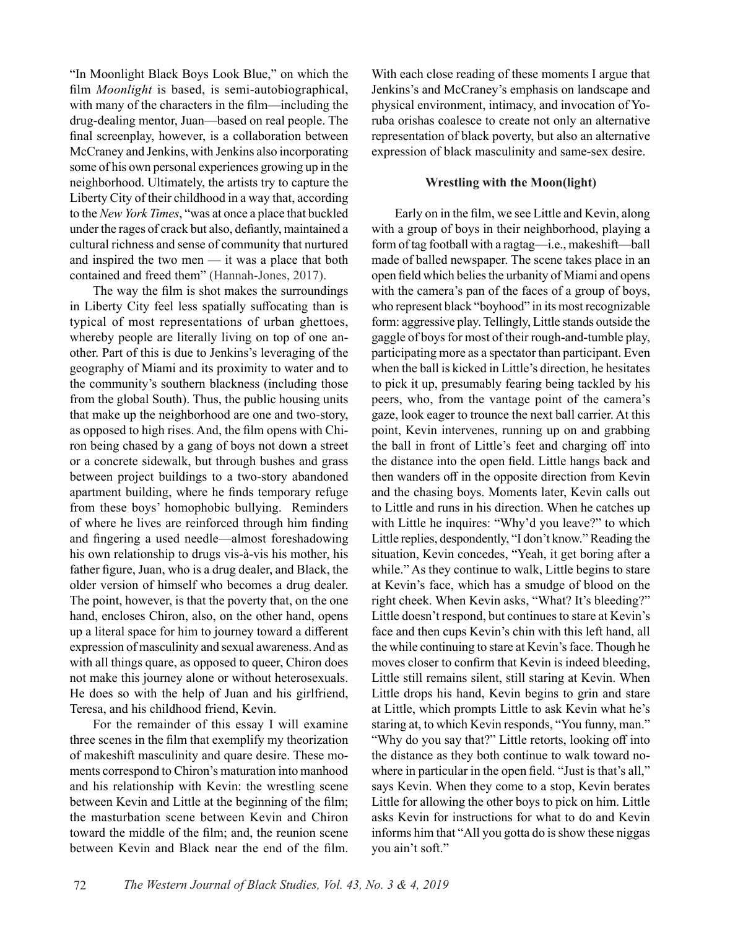"In Moonlight Black Boys Look Blue," on which the film *Moonlight* is based, is semi-autobiographical, with many of the characters in the film—including the drug-dealing mentor, Juan—based on real people. The final screenplay, however, is a collaboration between McCraney and Jenkins, with Jenkins also incorporating some of his own personal experiences growing up in the neighborhood. Ultimately, the artists try to capture the Liberty City of their childhood in a way that, according to the *New York Times*, "was at once a place that buckled under the rages of crack but also, defiantly, maintained a cultural richness and sense of community that nurtured and inspired the two men — it was a place that both contained and freed them" (Hannah-Jones, 2017).

The way the film is shot makes the surroundings in Liberty City feel less spatially suffocating than is typical of most representations of urban ghettoes, whereby people are literally living on top of one another. Part of this is due to Jenkins's leveraging of the geography of Miami and its proximity to water and to the community's southern blackness (including those from the global South). Thus, the public housing units that make up the neighborhood are one and two-story, as opposed to high rises. And, the film opens with Chiron being chased by a gang of boys not down a street or a concrete sidewalk, but through bushes and grass between project buildings to a two-story abandoned apartment building, where he finds temporary refuge from these boys' homophobic bullying. Reminders of where he lives are reinforced through him finding and fingering a used needle—almost foreshadowing his own relationship to drugs vis-à-vis his mother, his father figure, Juan, who is a drug dealer, and Black, the older version of himself who becomes a drug dealer. The point, however, is that the poverty that, on the one hand, encloses Chiron, also, on the other hand, opens up a literal space for him to journey toward a different expression of masculinity and sexual awareness. And as with all things quare, as opposed to queer, Chiron does not make this journey alone or without heterosexuals. He does so with the help of Juan and his girlfriend, Teresa, and his childhood friend, Kevin.

For the remainder of this essay I will examine three scenes in the film that exemplify my theorization of makeshift masculinity and quare desire. These moments correspond to Chiron's maturation into manhood and his relationship with Kevin: the wrestling scene between Kevin and Little at the beginning of the film; the masturbation scene between Kevin and Chiron toward the middle of the film; and, the reunion scene between Kevin and Black near the end of the film. With each close reading of these moments I argue that Jenkins's and McCraney's emphasis on landscape and physical environment, intimacy, and invocation of Yoruba orishas coalesce to create not only an alternative representation of black poverty, but also an alternative expression of black masculinity and same-sex desire.

#### **Wrestling with the Moon(light)**

Early on in the film, we see Little and Kevin, along with a group of boys in their neighborhood, playing a form of tag football with a ragtag—i.e., makeshift—ball made of balled newspaper. The scene takes place in an open field which belies the urbanity of Miami and opens with the camera's pan of the faces of a group of boys, who represent black "boyhood" in its most recognizable form: aggressive play. Tellingly, Little stands outside the gaggle of boys for most of their rough-and-tumble play, participating more as a spectator than participant. Even when the ball is kicked in Little's direction, he hesitates to pick it up, presumably fearing being tackled by his peers, who, from the vantage point of the camera's gaze, look eager to trounce the next ball carrier. At this point, Kevin intervenes, running up on and grabbing the ball in front of Little's feet and charging off into the distance into the open field. Little hangs back and then wanders off in the opposite direction from Kevin and the chasing boys. Moments later, Kevin calls out to Little and runs in his direction. When he catches up with Little he inquires: "Why'd you leave?" to which Little replies, despondently, "I don't know." Reading the situation, Kevin concedes, "Yeah, it get boring after a while." As they continue to walk, Little begins to stare at Kevin's face, which has a smudge of blood on the right cheek. When Kevin asks, "What? It's bleeding?" Little doesn't respond, but continues to stare at Kevin's face and then cups Kevin's chin with this left hand, all the while continuing to stare at Kevin's face. Though he moves closer to confirm that Kevin is indeed bleeding, Little still remains silent, still staring at Kevin. When Little drops his hand, Kevin begins to grin and stare at Little, which prompts Little to ask Kevin what he's staring at, to which Kevin responds, "You funny, man." "Why do you say that?" Little retorts, looking off into the distance as they both continue to walk toward nowhere in particular in the open field. "Just is that's all," says Kevin. When they come to a stop, Kevin berates Little for allowing the other boys to pick on him. Little asks Kevin for instructions for what to do and Kevin informs him that "All you gotta do is show these niggas you ain't soft."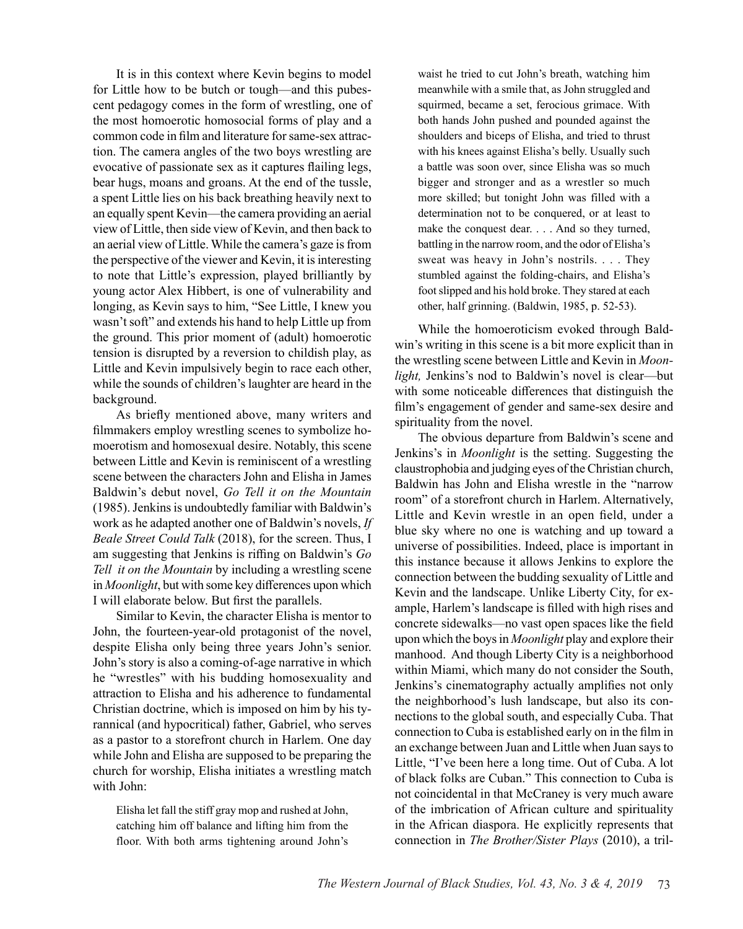It is in this context where Kevin begins to model for Little how to be butch or tough—and this pubescent pedagogy comes in the form of wrestling, one of the most homoerotic homosocial forms of play and a common code in film and literature for same-sex attraction. The camera angles of the two boys wrestling are evocative of passionate sex as it captures flailing legs, bear hugs, moans and groans. At the end of the tussle, a spent Little lies on his back breathing heavily next to an equally spent Kevin—the camera providing an aerial view of Little, then side view of Kevin, and then back to an aerial view of Little. While the camera's gaze is from the perspective of the viewer and Kevin, it is interesting to note that Little's expression, played brilliantly by young actor Alex Hibbert, is one of vulnerability and longing, as Kevin says to him, "See Little, I knew you wasn't soft" and extends his hand to help Little up from the ground. This prior moment of (adult) homoerotic tension is disrupted by a reversion to childish play, as Little and Kevin impulsively begin to race each other, while the sounds of children's laughter are heard in the background.

As briefly mentioned above, many writers and filmmakers employ wrestling scenes to symbolize homoerotism and homosexual desire. Notably, this scene between Little and Kevin is reminiscent of a wrestling scene between the characters John and Elisha in James Baldwin's debut novel, *Go Tell it on the Mountain* (1985). Jenkins is undoubtedly familiar with Baldwin's work as he adapted another one of Baldwin's novels, *If Beale Street Could Talk* (2018), for the screen. Thus, I am suggesting that Jenkins is riffing on Baldwin's *Go Tell it on the Mountain* by including a wrestling scene in *Moonlight*, but with some key differences upon which I will elaborate below. But first the parallels.

Similar to Kevin, the character Elisha is mentor to John, the fourteen-year-old protagonist of the novel, despite Elisha only being three years John's senior. John's story is also a coming-of-age narrative in which he "wrestles" with his budding homosexuality and attraction to Elisha and his adherence to fundamental Christian doctrine, which is imposed on him by his tyrannical (and hypocritical) father, Gabriel, who serves as a pastor to a storefront church in Harlem. One day while John and Elisha are supposed to be preparing the church for worship, Elisha initiates a wrestling match with John:

Elisha let fall the stiff gray mop and rushed at John, catching him off balance and lifting him from the floor. With both arms tightening around John's waist he tried to cut John's breath, watching him meanwhile with a smile that, as John struggled and squirmed, became a set, ferocious grimace. With both hands John pushed and pounded against the shoulders and biceps of Elisha, and tried to thrust with his knees against Elisha's belly. Usually such a battle was soon over, since Elisha was so much bigger and stronger and as a wrestler so much more skilled; but tonight John was filled with a determination not to be conquered, or at least to make the conquest dear. . . . And so they turned, battling in the narrow room, and the odor of Elisha's sweat was heavy in John's nostrils. . . . They stumbled against the folding-chairs, and Elisha's foot slipped and his hold broke. They stared at each other, half grinning. (Baldwin, 1985, p. 52-53).

While the homoeroticism evoked through Baldwin's writing in this scene is a bit more explicit than in the wrestling scene between Little and Kevin in *Moonlight,* Jenkins's nod to Baldwin's novel is clear—but with some noticeable differences that distinguish the film's engagement of gender and same-sex desire and spirituality from the novel.

The obvious departure from Baldwin's scene and Jenkins's in *Moonlight* is the setting. Suggesting the claustrophobia and judging eyes of the Christian church, Baldwin has John and Elisha wrestle in the "narrow room" of a storefront church in Harlem. Alternatively, Little and Kevin wrestle in an open field, under a blue sky where no one is watching and up toward a universe of possibilities. Indeed, place is important in this instance because it allows Jenkins to explore the connection between the budding sexuality of Little and Kevin and the landscape. Unlike Liberty City, for example, Harlem's landscape is filled with high rises and concrete sidewalks—no vast open spaces like the field upon which the boys in *Moonlight* play and explore their manhood. And though Liberty City is a neighborhood within Miami, which many do not consider the South, Jenkins's cinematography actually amplifies not only the neighborhood's lush landscape, but also its connections to the global south, and especially Cuba. That connection to Cuba is established early on in the film in an exchange between Juan and Little when Juan says to Little, "I've been here a long time. Out of Cuba. A lot of black folks are Cuban." This connection to Cuba is not coincidental in that McCraney is very much aware of the imbrication of African culture and spirituality in the African diaspora. He explicitly represents that connection in *The Brother/Sister Plays* (2010), a tril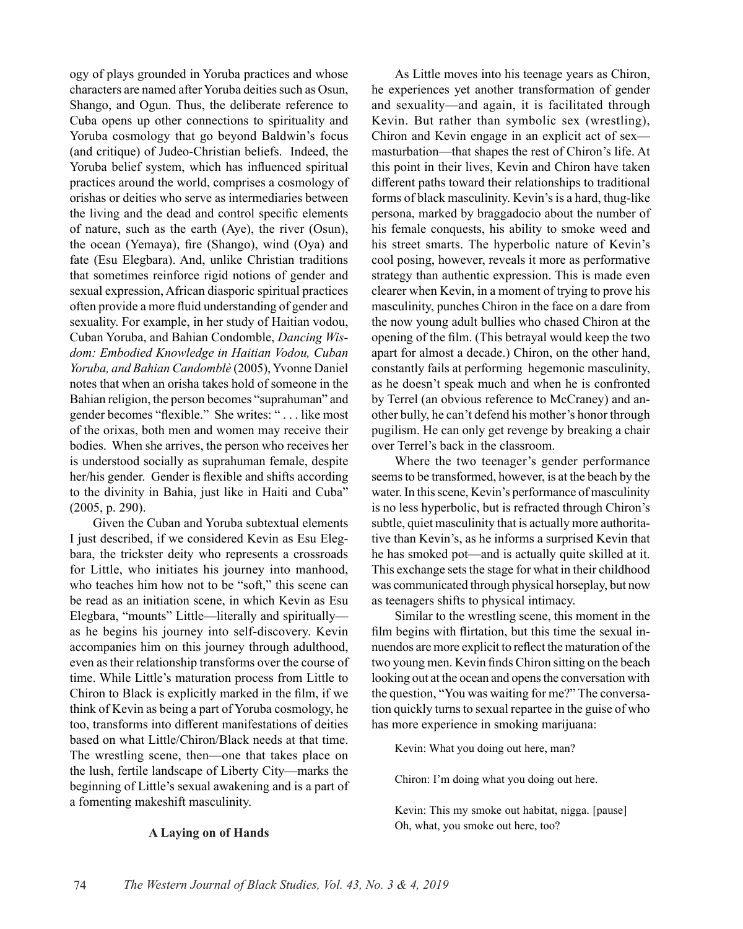ogy of plays grounded in Yoruba practices and whose characters are named after Yoruba deities such as Osun, Shango, and Ogun. Thus, the deliberate reference to Cuba opens up other connections to spirituality and Yoruba cosmology that go beyond Baldwin's focus (and critique) of Judeo-Christian beliefs. Indeed, the Yoruba belief system, which has influenced spiritual practices around the world, comprises a cosmology of orishas or deities who serve as intermediaries between the living and the dead and control specific elements of nature, such as the earth (Aye), the river (Osun), the ocean (Yemaya), fire (Shango), wind (Oya) and fate (Esu Elegbara). And, unlike Christian traditions that sometimes reinforce rigid notions of gender and sexual expression, African diasporic spiritual practices often provide a more fluid understanding of gender and sexuality. For example, in her study of Haitian vodou, Cuban Yoruba, and Bahian Condomble, *Dancing Wisdom: Embodied Knowledge in Haitian Vodou, Cuban Yoruba, and Bahian Candomblè* (2005), Yvonne Daniel notes that when an orisha takes hold of someone in the Bahian religion, the person becomes "suprahuman" and gender becomes "flexible." She writes: " . . . like most of the orixas, both men and women may receive their bodies. When she arrives, the person who receives her is understood socially as suprahuman female, despite her/his gender. Gender is flexible and shifts according to the divinity in Bahia, just like in Haiti and Cuba" (2005, p. 290).

Given the Cuban and Yoruba subtextual elements I just described, if we considered Kevin as Esu Elegbara, the trickster deity who represents a crossroads for Little, who initiates his journey into manhood, who teaches him how not to be "soft," this scene can be read as an initiation scene, in which Kevin as Esu Elegbara, "mounts" Little—literally and spiritually as he begins his journey into self-discovery. Kevin accompanies him on this journey through adulthood, even as their relationship transforms over the course of time. While Little's maturation process from Little to Chiron to Black is explicitly marked in the film, if we think of Kevin as being a part of Yoruba cosmology, he too, transforms into different manifestations of deities based on what Little/Chiron/Black needs at that time. The wrestling scene, then—one that takes place on the lush, fertile landscape of Liberty City—marks the beginning of Little's sexual awakening and is a part of a fomenting makeshift masculinity.

#### **A Laying on of Hands**

As Little moves into his teenage years as Chiron, he experiences yet another transformation of gender and sexuality—and again, it is facilitated through Kevin. But rather than symbolic sex (wrestling), Chiron and Kevin engage in an explicit act of sex masturbation—that shapes the rest of Chiron's life. At this point in their lives, Kevin and Chiron have taken different paths toward their relationships to traditional forms of black masculinity. Kevin's is a hard, thug-like persona, marked by braggadocio about the number of his female conquests, his ability to smoke weed and his street smarts. The hyperbolic nature of Kevin's cool posing, however, reveals it more as performative strategy than authentic expression. This is made even clearer when Kevin, in a moment of trying to prove his masculinity, punches Chiron in the face on a dare from the now young adult bullies who chased Chiron at the opening of the film. (This betrayal would keep the two apart for almost a decade.) Chiron, on the other hand, constantly fails at performing hegemonic masculinity, as he doesn't speak much and when he is confronted by Terrel (an obvious reference to McCraney) and another bully, he can't defend his mother's honor through pugilism. He can only get revenge by breaking a chair over Terrel's back in the classroom.

Where the two teenager's gender performance seems to be transformed, however, is at the beach by the water. In this scene, Kevin's performance of masculinity is no less hyperbolic, but is refracted through Chiron's subtle, quiet masculinity that is actually more authoritative than Kevin's, as he informs a surprised Kevin that he has smoked pot—and is actually quite skilled at it. This exchange sets the stage for what in their childhood was communicated through physical horseplay, but now as teenagers shifts to physical intimacy.

Similar to the wrestling scene, this moment in the film begins with flirtation, but this time the sexual innuendos are more explicit to reflect the maturation of the two young men. Kevin finds Chiron sitting on the beach looking out at the ocean and opens the conversation with the question, "You was waiting for me?" The conversation quickly turns to sexual repartee in the guise of who has more experience in smoking marijuana:

Kevin: What you doing out here, man?

Chiron: I'm doing what you doing out here.

Kevin: This my smoke out habitat, nigga. [pause] Oh, what, you smoke out here, too?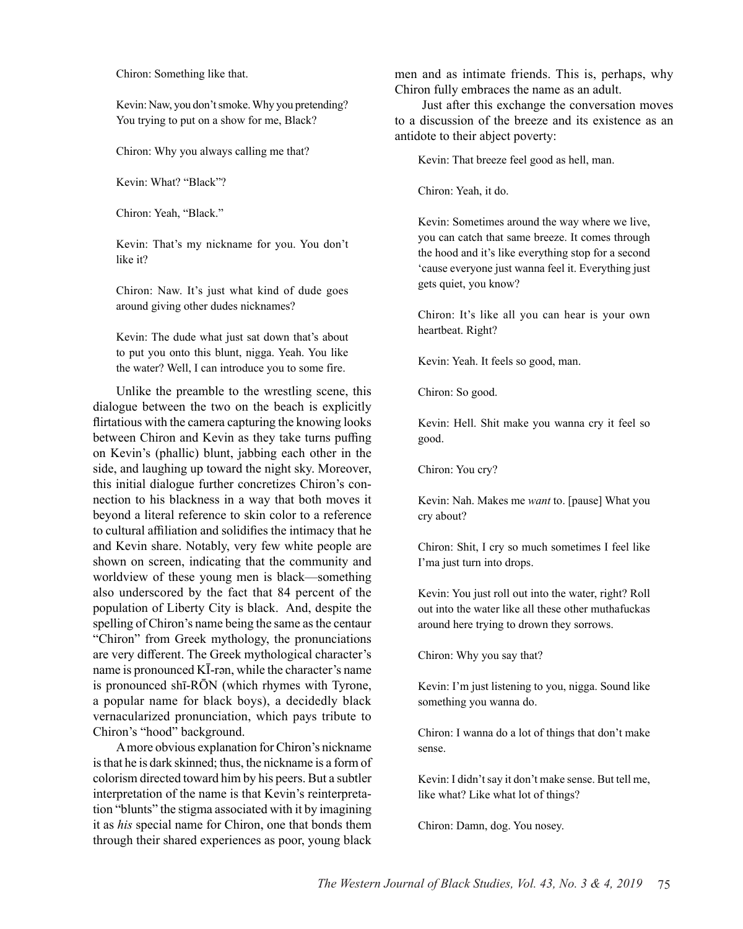Chiron: Something like that.

Kevin: Naw, you don't smoke. Why you pretending? You trying to put on a show for me, Black?

Chiron: Why you always calling me that?

Kevin: What? "Black"?

Chiron: Yeah, "Black."

Kevin: That's my nickname for you. You don't like it?

Chiron: Naw. It's just what kind of dude goes around giving other dudes nicknames?

Kevin: The dude what just sat down that's about to put you onto this blunt, nigga. Yeah. You like the water? Well, I can introduce you to some fire.

Unlike the preamble to the wrestling scene, this dialogue between the two on the beach is explicitly flirtatious with the camera capturing the knowing looks between Chiron and Kevin as they take turns puffing on Kevin's (phallic) blunt, jabbing each other in the side, and laughing up toward the night sky. Moreover, this initial dialogue further concretizes Chiron's connection to his blackness in a way that both moves it beyond a literal reference to skin color to a reference to cultural affiliation and solidifies the intimacy that he and Kevin share. Notably, very few white people are shown on screen, indicating that the community and worldview of these young men is black—something also underscored by the fact that 84 percent of the population of Liberty City is black. And, despite the spelling of Chiron's name being the same as the centaur "Chiron" from Greek mythology, the pronunciations are very different. The Greek mythological character's name is pronounced KĪ-rən, while the character's name is pronounced shī-RŌN (which rhymes with Tyrone, a popular name for black boys), a decidedly black vernacularized pronunciation, which pays tribute to Chiron's "hood" background.

A more obvious explanation for Chiron's nickname is that he is dark skinned; thus, the nickname is a form of colorism directed toward him by his peers. But a subtler interpretation of the name is that Kevin's reinterpretation "blunts" the stigma associated with it by imagining it as *his* special name for Chiron, one that bonds them through their shared experiences as poor, young black

men and as intimate friends. This is, perhaps, why Chiron fully embraces the name as an adult.

 Just after this exchange the conversation moves to a discussion of the breeze and its existence as an antidote to their abject poverty:

Kevin: That breeze feel good as hell, man.

Chiron: Yeah, it do.

Kevin: Sometimes around the way where we live, you can catch that same breeze. It comes through the hood and it's like everything stop for a second 'cause everyone just wanna feel it. Everything just gets quiet, you know?

Chiron: It's like all you can hear is your own heartbeat. Right?

Kevin: Yeah. It feels so good, man.

Chiron: So good.

Kevin: Hell. Shit make you wanna cry it feel so good.

Chiron: You cry?

Kevin: Nah. Makes me *want* to. [pause] What you cry about?

Chiron: Shit, I cry so much sometimes I feel like I'ma just turn into drops.

Kevin: You just roll out into the water, right? Roll out into the water like all these other muthafuckas around here trying to drown they sorrows.

Chiron: Why you say that?

Kevin: I'm just listening to you, nigga. Sound like something you wanna do.

Chiron: I wanna do a lot of things that don't make sense.

Kevin: I didn't say it don't make sense. But tell me, like what? Like what lot of things?

Chiron: Damn, dog. You nosey.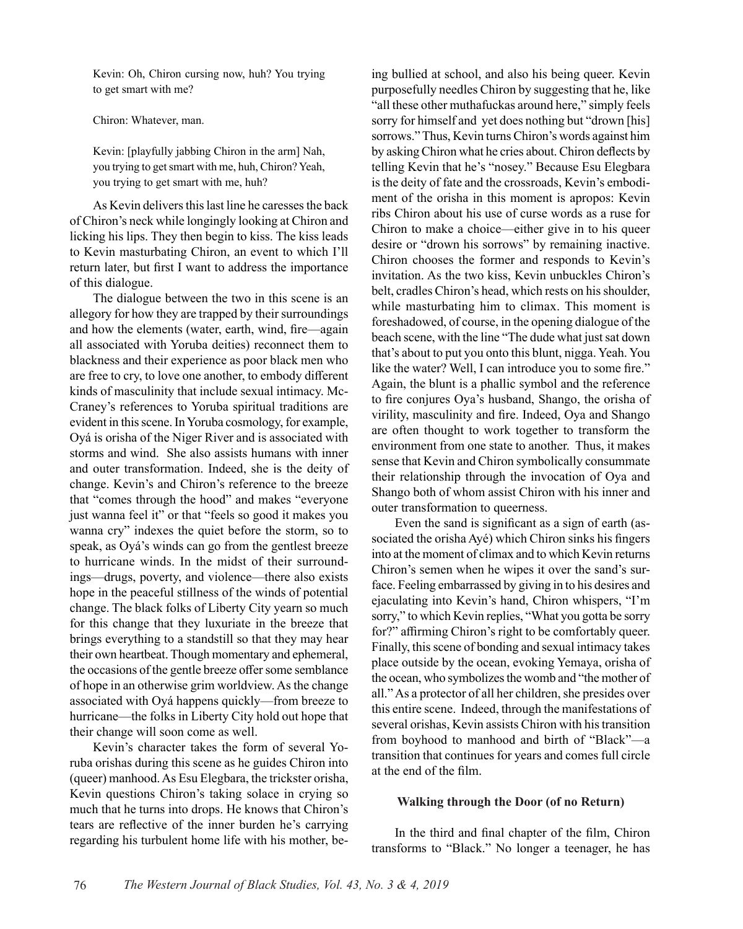Kevin: Oh, Chiron cursing now, huh? You trying to get smart with me?

Chiron: Whatever, man.

Kevin: [playfully jabbing Chiron in the arm] Nah, you trying to get smart with me, huh, Chiron? Yeah, you trying to get smart with me, huh?

As Kevin delivers this last line he caresses the back of Chiron's neck while longingly looking at Chiron and licking his lips. They then begin to kiss. The kiss leads to Kevin masturbating Chiron, an event to which I'll return later, but first I want to address the importance of this dialogue.

The dialogue between the two in this scene is an allegory for how they are trapped by their surroundings and how the elements (water, earth, wind, fire—again all associated with Yoruba deities) reconnect them to blackness and their experience as poor black men who are free to cry, to love one another, to embody different kinds of masculinity that include sexual intimacy. Mc-Craney's references to Yoruba spiritual traditions are evident in this scene. In Yoruba cosmology, for example, Oyá is orisha of the Niger River and is associated with storms and wind. She also assists humans with inner and outer transformation. Indeed, she is the deity of change. Kevin's and Chiron's reference to the breeze that "comes through the hood" and makes "everyone just wanna feel it" or that "feels so good it makes you wanna cry" indexes the quiet before the storm, so to speak, as Oyá's winds can go from the gentlest breeze to hurricane winds. In the midst of their surroundings—drugs, poverty, and violence—there also exists hope in the peaceful stillness of the winds of potential change. The black folks of Liberty City yearn so much for this change that they luxuriate in the breeze that brings everything to a standstill so that they may hear their own heartbeat. Though momentary and ephemeral, the occasions of the gentle breeze offer some semblance of hope in an otherwise grim worldview. As the change associated with Oyá happens quickly—from breeze to hurricane—the folks in Liberty City hold out hope that their change will soon come as well.

Kevin's character takes the form of several Yoruba orishas during this scene as he guides Chiron into (queer) manhood. As Esu Elegbara, the trickster orisha, Kevin questions Chiron's taking solace in crying so much that he turns into drops. He knows that Chiron's tears are reflective of the inner burden he's carrying regarding his turbulent home life with his mother, being bullied at school, and also his being queer. Kevin purposefully needles Chiron by suggesting that he, like "all these other muthafuckas around here," simply feels sorry for himself and yet does nothing but "drown [his] sorrows." Thus, Kevin turns Chiron's words against him by asking Chiron what he cries about. Chiron deflects by telling Kevin that he's "nosey." Because Esu Elegbara is the deity of fate and the crossroads, Kevin's embodiment of the orisha in this moment is apropos: Kevin ribs Chiron about his use of curse words as a ruse for Chiron to make a choice—either give in to his queer desire or "drown his sorrows" by remaining inactive. Chiron chooses the former and responds to Kevin's invitation. As the two kiss, Kevin unbuckles Chiron's belt, cradles Chiron's head, which rests on his shoulder, while masturbating him to climax. This moment is foreshadowed, of course, in the opening dialogue of the beach scene, with the line "The dude what just sat down that's about to put you onto this blunt, nigga. Yeah. You like the water? Well, I can introduce you to some fire." Again, the blunt is a phallic symbol and the reference to fire conjures Oya's husband, Shango, the orisha of virility, masculinity and fire. Indeed, Oya and Shango are often thought to work together to transform the environment from one state to another. Thus, it makes sense that Kevin and Chiron symbolically consummate their relationship through the invocation of Oya and Shango both of whom assist Chiron with his inner and outer transformation to queerness.

Even the sand is significant as a sign of earth (associated the orisha Ayé) which Chiron sinks his fingers into at the moment of climax and to which Kevin returns Chiron's semen when he wipes it over the sand's surface. Feeling embarrassed by giving in to his desires and ejaculating into Kevin's hand, Chiron whispers, "I'm sorry," to which Kevin replies, "What you gotta be sorry for?" affirming Chiron's right to be comfortably queer. Finally, this scene of bonding and sexual intimacy takes place outside by the ocean, evoking Yemaya, orisha of the ocean, who symbolizes the womb and "the mother of all." As a protector of all her children, she presides over this entire scene. Indeed, through the manifestations of several orishas, Kevin assists Chiron with his transition from boyhood to manhood and birth of "Black"—a transition that continues for years and comes full circle at the end of the film.

#### **Walking through the Door (of no Return)**

In the third and final chapter of the film, Chiron transforms to "Black." No longer a teenager, he has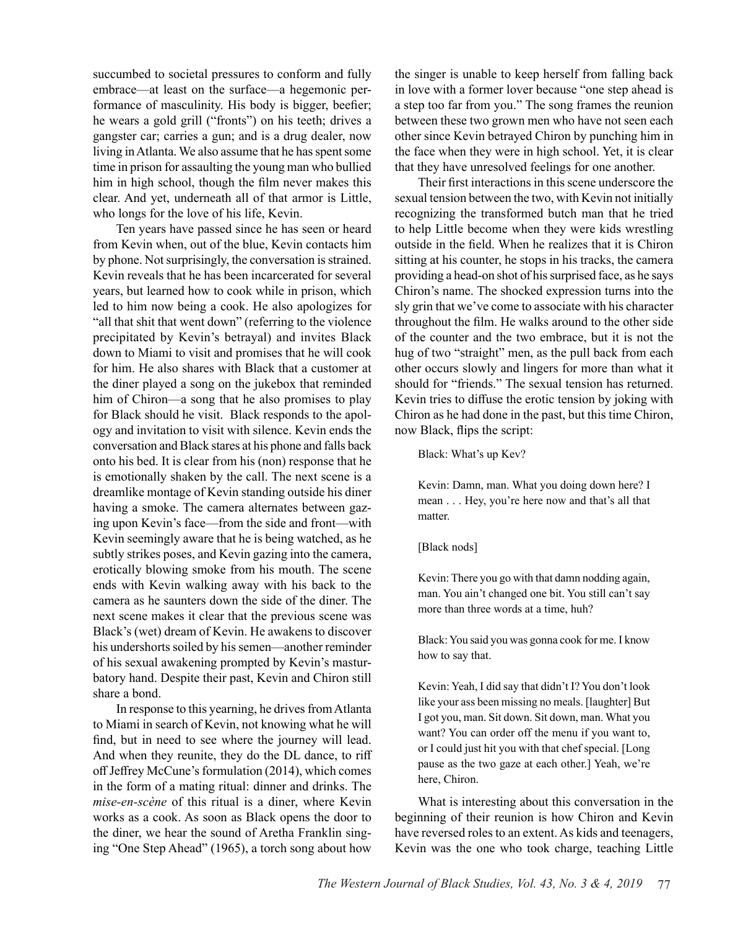succumbed to societal pressures to conform and fully embrace—at least on the surface—a hegemonic performance of masculinity. His body is bigger, beefier; he wears a gold grill ("fronts") on his teeth; drives a gangster car; carries a gun; and is a drug dealer, now living in Atlanta. We also assume that he has spent some time in prison for assaulting the young man who bullied him in high school, though the film never makes this clear. And yet, underneath all of that armor is Little, who longs for the love of his life, Kevin.

Ten years have passed since he has seen or heard from Kevin when, out of the blue, Kevin contacts him by phone. Not surprisingly, the conversation is strained. Kevin reveals that he has been incarcerated for several years, but learned how to cook while in prison, which led to him now being a cook. He also apologizes for "all that shit that went down" (referring to the violence precipitated by Kevin's betrayal) and invites Black down to Miami to visit and promises that he will cook for him. He also shares with Black that a customer at the diner played a song on the jukebox that reminded him of Chiron—a song that he also promises to play for Black should he visit. Black responds to the apology and invitation to visit with silence. Kevin ends the conversation and Black stares at his phone and falls back onto his bed. It is clear from his (non) response that he is emotionally shaken by the call. The next scene is a dreamlike montage of Kevin standing outside his diner having a smoke. The camera alternates between gazing upon Kevin's face—from the side and front—with Kevin seemingly aware that he is being watched, as he subtly strikes poses, and Kevin gazing into the camera, erotically blowing smoke from his mouth. The scene ends with Kevin walking away with his back to the camera as he saunters down the side of the diner. The next scene makes it clear that the previous scene was Black's (wet) dream of Kevin. He awakens to discover his undershorts soiled by his semen—another reminder of his sexual awakening prompted by Kevin's masturbatory hand. Despite their past, Kevin and Chiron still share a bond.

In response to this yearning, he drives from Atlanta to Miami in search of Kevin, not knowing what he will find, but in need to see where the journey will lead. And when they reunite, they do the DL dance, to riff off Jeffrey McCune's formulation (2014), which comes in the form of a mating ritual: dinner and drinks. The *mise-en-scène* of this ritual is a diner, where Kevin works as a cook. As soon as Black opens the door to the diner, we hear the sound of Aretha Franklin singing "One Step Ahead" (1965), a torch song about how

the singer is unable to keep herself from falling back in love with a former lover because "one step ahead is a step too far from you." The song frames the reunion between these two grown men who have not seen each other since Kevin betrayed Chiron by punching him in the face when they were in high school. Yet, it is clear that they have unresolved feelings for one another.

Their first interactions in this scene underscore the sexual tension between the two, with Kevin not initially recognizing the transformed butch man that he tried to help Little become when they were kids wrestling outside in the field. When he realizes that it is Chiron sitting at his counter, he stops in his tracks, the camera providing a head-on shot of his surprised face, as he says Chiron's name. The shocked expression turns into the sly grin that we've come to associate with his character throughout the film. He walks around to the other side of the counter and the two embrace, but it is not the hug of two "straight" men, as the pull back from each other occurs slowly and lingers for more than what it should for "friends." The sexual tension has returned. Kevin tries to diffuse the erotic tension by joking with Chiron as he had done in the past, but this time Chiron, now Black, flips the script:

Black: What's up Kev?

Kevin: Damn, man. What you doing down here? I mean . . . Hey, you're here now and that's all that matter.

[Black nods]

Kevin: There you go with that damn nodding again, man. You ain't changed one bit. You still can't say more than three words at a time, huh?

Black: You said you was gonna cook for me. I know how to say that.

Kevin: Yeah, I did say that didn't I? You don't look like your ass been missing no meals. [laughter] But I got you, man. Sit down. Sit down, man. What you want? You can order off the menu if you want to, or I could just hit you with that chef special. [Long pause as the two gaze at each other.] Yeah, we're here, Chiron.

What is interesting about this conversation in the beginning of their reunion is how Chiron and Kevin have reversed roles to an extent. As kids and teenagers, Kevin was the one who took charge, teaching Little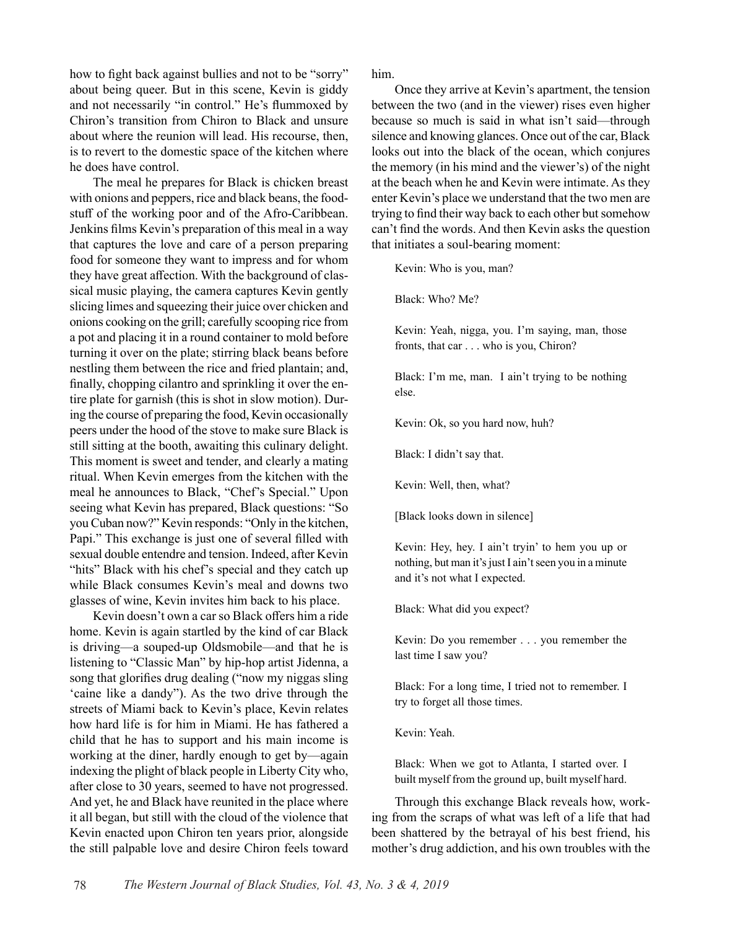how to fight back against bullies and not to be "sorry" about being queer. But in this scene, Kevin is giddy and not necessarily "in control." He's flummoxed by Chiron's transition from Chiron to Black and unsure about where the reunion will lead. His recourse, then, is to revert to the domestic space of the kitchen where he does have control.

The meal he prepares for Black is chicken breast with onions and peppers, rice and black beans, the foodstuff of the working poor and of the Afro-Caribbean. Jenkins films Kevin's preparation of this meal in a way that captures the love and care of a person preparing food for someone they want to impress and for whom they have great affection. With the background of classical music playing, the camera captures Kevin gently slicing limes and squeezing their juice over chicken and onions cooking on the grill; carefully scooping rice from a pot and placing it in a round container to mold before turning it over on the plate; stirring black beans before nestling them between the rice and fried plantain; and, finally, chopping cilantro and sprinkling it over the entire plate for garnish (this is shot in slow motion). During the course of preparing the food, Kevin occasionally peers under the hood of the stove to make sure Black is still sitting at the booth, awaiting this culinary delight. This moment is sweet and tender, and clearly a mating ritual. When Kevin emerges from the kitchen with the meal he announces to Black, "Chef's Special." Upon seeing what Kevin has prepared, Black questions: "So you Cuban now?" Kevin responds: "Only in the kitchen, Papi." This exchange is just one of several filled with sexual double entendre and tension. Indeed, after Kevin "hits" Black with his chef's special and they catch up while Black consumes Kevin's meal and downs two glasses of wine, Kevin invites him back to his place.

Kevin doesn't own a car so Black offers him a ride home. Kevin is again startled by the kind of car Black is driving—a souped-up Oldsmobile—and that he is listening to "Classic Man" by hip-hop artist Jidenna, a song that glorifies drug dealing ("now my niggas sling 'caine like a dandy"). As the two drive through the streets of Miami back to Kevin's place, Kevin relates how hard life is for him in Miami. He has fathered a child that he has to support and his main income is working at the diner, hardly enough to get by—again indexing the plight of black people in Liberty City who, after close to 30 years, seemed to have not progressed. And yet, he and Black have reunited in the place where it all began, but still with the cloud of the violence that Kevin enacted upon Chiron ten years prior, alongside the still palpable love and desire Chiron feels toward him.

Once they arrive at Kevin's apartment, the tension between the two (and in the viewer) rises even higher because so much is said in what isn't said—through silence and knowing glances. Once out of the car, Black looks out into the black of the ocean, which conjures the memory (in his mind and the viewer's) of the night at the beach when he and Kevin were intimate. As they enter Kevin's place we understand that the two men are trying to find their way back to each other but somehow can't find the words. And then Kevin asks the question that initiates a soul-bearing moment:

Kevin: Who is you, man?

Black: Who? Me?

Kevin: Yeah, nigga, you. I'm saying, man, those fronts, that car . . . who is you, Chiron?

Black: I'm me, man. I ain't trying to be nothing else.

Kevin: Ok, so you hard now, huh?

Black: I didn't say that.

Kevin: Well, then, what?

[Black looks down in silence]

Kevin: Hey, hey. I ain't tryin' to hem you up or nothing, but man it's just I ain't seen you in a minute and it's not what I expected.

Black: What did you expect?

Kevin: Do you remember . . . you remember the last time I saw you?

Black: For a long time, I tried not to remember. I try to forget all those times.

Kevin: Yeah.

Black: When we got to Atlanta, I started over. I built myself from the ground up, built myself hard.

Through this exchange Black reveals how, working from the scraps of what was left of a life that had been shattered by the betrayal of his best friend, his mother's drug addiction, and his own troubles with the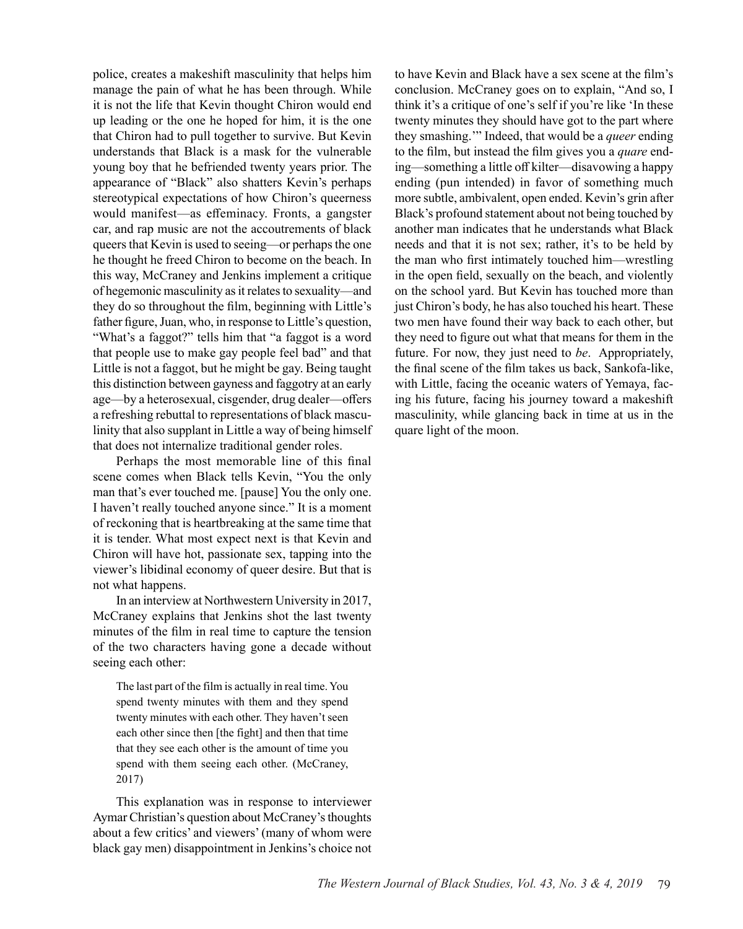police, creates a makeshift masculinity that helps him manage the pain of what he has been through. While it is not the life that Kevin thought Chiron would end up leading or the one he hoped for him, it is the one that Chiron had to pull together to survive. But Kevin understands that Black is a mask for the vulnerable young boy that he befriended twenty years prior. The appearance of "Black" also shatters Kevin's perhaps stereotypical expectations of how Chiron's queerness would manifest—as effeminacy. Fronts, a gangster car, and rap music are not the accoutrements of black queers that Kevin is used to seeing—or perhaps the one he thought he freed Chiron to become on the beach. In this way, McCraney and Jenkins implement a critique of hegemonic masculinity as it relates to sexuality—and they do so throughout the film, beginning with Little's father figure, Juan, who, in response to Little's question, "What's a faggot?" tells him that "a faggot is a word that people use to make gay people feel bad" and that Little is not a faggot, but he might be gay. Being taught this distinction between gayness and faggotry at an early age—by a heterosexual, cisgender, drug dealer—offers a refreshing rebuttal to representations of black masculinity that also supplant in Little a way of being himself that does not internalize traditional gender roles.

Perhaps the most memorable line of this final scene comes when Black tells Kevin, "You the only man that's ever touched me. [pause] You the only one. I haven't really touched anyone since." It is a moment of reckoning that is heartbreaking at the same time that it is tender. What most expect next is that Kevin and Chiron will have hot, passionate sex, tapping into the viewer's libidinal economy of queer desire. But that is not what happens.

In an interview at Northwestern University in 2017, McCraney explains that Jenkins shot the last twenty minutes of the film in real time to capture the tension of the two characters having gone a decade without seeing each other:

The last part of the film is actually in real time. You spend twenty minutes with them and they spend twenty minutes with each other. They haven't seen each other since then [the fight] and then that time that they see each other is the amount of time you spend with them seeing each other. (McCraney, 2017)

This explanation was in response to interviewer Aymar Christian's question about McCraney's thoughts about a few critics' and viewers' (many of whom were black gay men) disappointment in Jenkins's choice not

to have Kevin and Black have a sex scene at the film's conclusion. McCraney goes on to explain, "And so, I think it's a critique of one's self if you're like 'In these twenty minutes they should have got to the part where they smashing.'" Indeed, that would be a *queer* ending to the film, but instead the film gives you a *quare* ending—something a little off kilter—disavowing a happy ending (pun intended) in favor of something much more subtle, ambivalent, open ended. Kevin's grin after Black's profound statement about not being touched by another man indicates that he understands what Black needs and that it is not sex; rather, it's to be held by the man who first intimately touched him—wrestling in the open field, sexually on the beach, and violently on the school yard. But Kevin has touched more than just Chiron's body, he has also touched his heart. These two men have found their way back to each other, but they need to figure out what that means for them in the future. For now, they just need to *be*. Appropriately, the final scene of the film takes us back, Sankofa-like, with Little, facing the oceanic waters of Yemaya, facing his future, facing his journey toward a makeshift masculinity, while glancing back in time at us in the quare light of the moon.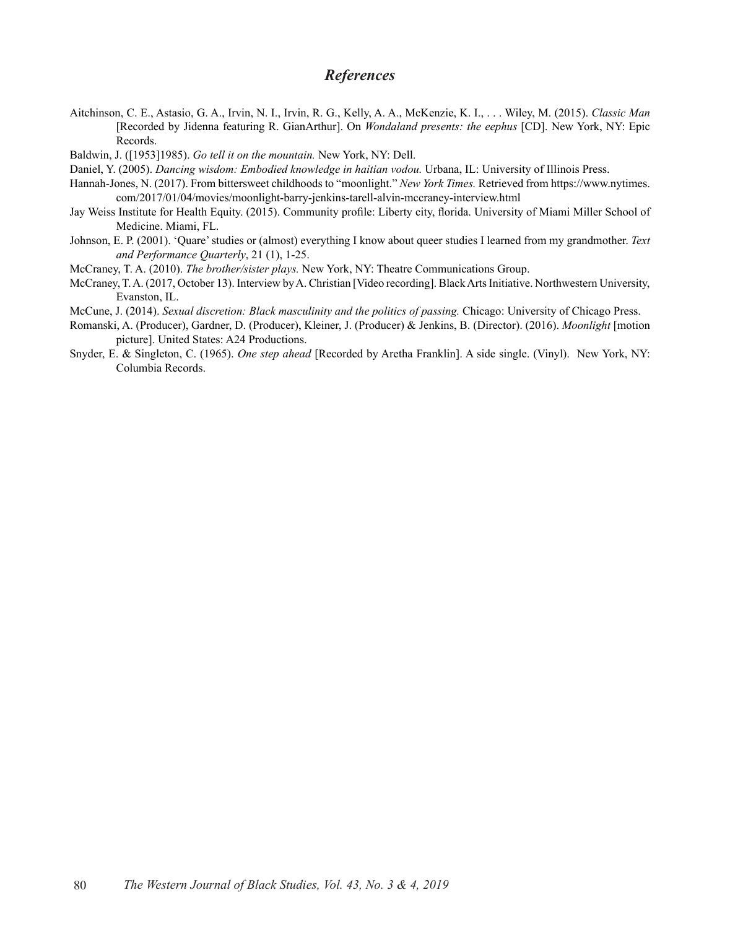### *References*

- Aitchinson, C. E., Astasio, G. A., Irvin, N. I., Irvin, R. G., Kelly, A. A., McKenzie, K. I., . . . Wiley, M. (2015). *Classic Man* [Recorded by Jidenna featuring R. GianArthur]. On *Wondaland presents: the eephus* [CD]. New York, NY: Epic Records.
- Baldwin, J. ([1953]1985). *Go tell it on the mountain.* New York, NY: Dell.
- Daniel, Y. (2005). *Dancing wisdom: Embodied knowledge in haitian vodou.* Urbana, IL: University of Illinois Press.
- Hannah-Jones, N. (2017). From bittersweet childhoods to "moonlight." *New York Times.* Retrieved from https://www.nytimes. com/2017/01/04/movies/moonlight-barry-jenkins-tarell-alvin-mccraney-interview.html
- Jay Weiss Institute for Health Equity. (2015). Community profile: Liberty city, florida. University of Miami Miller School of Medicine. Miami, FL.
- Johnson, E. P. (2001). 'Quare' studies or (almost) everything I know about queer studies I learned from my grandmother. *Text and Performance Quarterly*, 21 (1), 1-25.
- McCraney, T. A. (2010). *The brother/sister plays.* New York, NY: Theatre Communications Group.
- McCraney, T. A. (2017, October 13). Interview by A. Christian [Video recording]. Black Arts Initiative. Northwestern University, Evanston, IL.

McCune, J. (2014). *Sexual discretion: Black masculinity and the politics of passing.* Chicago: University of Chicago Press.

- Romanski, A. (Producer), Gardner, D. (Producer), Kleiner, J. (Producer) & Jenkins, B. (Director). (2016). *Moonlight* [motion picture]. United States: A24 Productions.
- Snyder, E. & Singleton, C. (1965). *One step ahead* [Recorded by Aretha Franklin]. A side single. (Vinyl). New York, NY: Columbia Records.